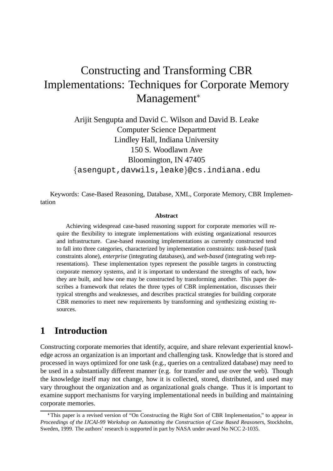# Constructing and Transforming CBR Implementations: Techniques for Corporate Memory Management

Arijit Sengupta and David C. Wilson and David B. Leake Computer Science Department Lindley Hall, Indiana University 150 S. Woodlawn Ave Bloomington, IN 47405 {asengupt,davwils,leake}@cs.indiana.edu

Keywords: Case-Based Reasoning, Database, XML, Corporate Memory, CBR Implementation

#### **Abstract**

Achieving widespread case-based reasoning support for corporate memories will require the flexibility to integrate implementations with existing organizational resources and infrastructure. Case-based reasoning implementations as currently constructed tend to fall into three categories, characterized by implementation constraints: *task-based* (task constraints alone), *enterprise* (integrating databases), and *web-based* (integrating web representations). These implementation types represent the possible targets in constructing corporate memory systems, and it is important to understand the strengths of each, how they are built, and how one may be constructed by transforming another. This paper describes a framework that relates the three types of CBR implementation, discusses their typical strengths and weaknesses, and describes practical strategies for building corporate CBR memories to meet new requirements by transforming and synthesizing existing resources.

### **1 Introduction**

Constructing corporate memories that identify, acquire, and share relevant experiential knowledge across an organization is an important and challenging task. Knowledge that is stored and processed in ways optimized for one task (e.g., queries on a centralized database) may need to be used in a substantially different manner (e.g. for transfer and use over the web). Though the knowledge itself may not change, how it is collected, stored, distributed, and used may vary throughout the organization and as organizational goals change. Thus it is important to examine support mechanisms for varying implementational needs in building and maintaining corporate memories.

This paper is a revised version of "On Constructing the Right Sort of CBR Implementation," to appear in *Proceedings of the IJCAI-99 Workshop on Automating the Construction of Case Based Reasoners*, Stockholm, Sweden, 1999. The authors' research is supported in part by NASA under award No NCC 2-1035.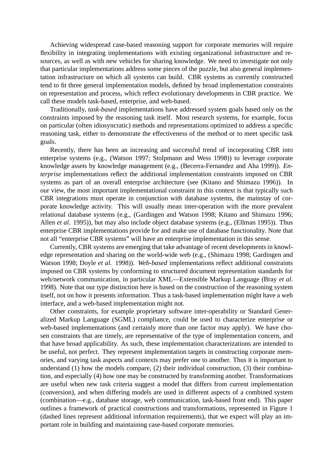Achieving widespread case-based reasoning support for corporate memories will require flexibility in integrating implementations with existing organizational infrastructure and resources, as well as with new vehicles for sharing knowledge. We need to investigate not only that particular implementations address some pieces of the puzzle, but also general implementation infrastructure on which all systems can build. CBR systems as currently constructed tend to fit three general implementation models, defined by broad implementation constraints on representation and process, which reflect evolutionary developments in CBR practice. We call these models task-based, enterprise, and web-based.

Traditionally, *task-based* implementations have addressed system goals based only on the constraints imposed by the reasoning task itself. Most research systems, for example, focus on particular (often idiosyncratic) methods and representations optimized to address a specific reasoning task, either to demonstrate the effectiveness of the method or to meet specific task goals.

Recently, there has been an increasing and successful trend of incorporating CBR into enterprise systems (e.g., (Watson 1997; Stolpmann and Wess 1998)) to leverage corporate knowledge assets by knowledge management (e.g., (Becerra-Fernandez and Aha 1999)). *Enterprise* implementations reflect the additional implementation constraints imposed on CBR systems as part of an overall enterprise architecture (see (Kitano and Shimazu 1996)). In our view, the most important implementational constraint in this context is that typically such CBR integrations must operate in conjunction with database systems, the mainstay of corporate knowledge activity. This will usually mean inter-operation with the more prevalent relational database systems (e.g., (Gardingen and Watson 1998; Kitano and Shimazu 1996; Allen *et al.* 1995)), but may also include object database systems (e.g., (Ellman 1995)). Thus enterprise CBR implementations provide for and make use of database functionality. Note that not all "enterprise CBR systems" will have an enterprise implementation in this sense.

Currently, CBR systems are emerging that take advantage of recent developments in knowledge representation and sharing on the world-wide web (e.g., (Shimazu 1998; Gardingen and Watson 1998; Doyle *et al.* 1998)). *Web-based* implementations reflect additional constraints imposed on CBR systems by conforming to structured document representation standards for web/network communication, in particular XML—Extensible Markup Language (Bray *et al.* 1998). Note that our type distinction here is based on the construction of the reasoning system itself, not on how it presents information. Thus a task-based implementation might have a web interface, and a web-based implementation might not.

Other constraints, for example proprietary software inter-operability or Standard Generalized Markup Language (SGML) compliance, could be used to characterize enterprise or web-based implementations (and certainly more than one factor may apply). We have chosen constraints that are timely, are representative of the type of implementation concern, and that have broad applicability. As such, these implementation characterizations are intended to be useful, not perfect. They represent implementation targets in constructing corporate memories, and varying task aspects and contexts may prefer one to another. Thus it is important to understand (1) how the models compare, (2) their individual construction, (3) their combination, and especially (4) how one may be constructed by transforming another. Transformations are useful when new task criteria suggest a model that differs from current implementation (conversion), and when differing models are used in different aspects of a combined system (combination—e.g., database storage, web communication, task-based front end). This paper outlines a framework of practical constructions and transformations, represented in Figure 1 (dashed lines represent additional information requirements), that we expect will play an important role in building and maintaining case-based corporate memories.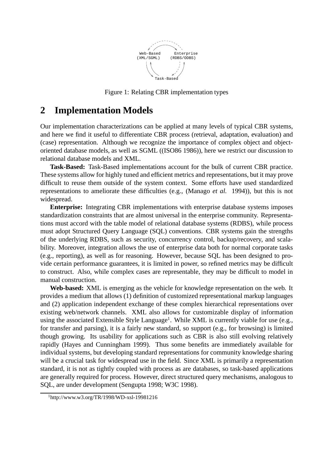

Figure 1: Relating CBR implementation types

### **2 Implementation Models**

Our implementation characterizations can be applied at many levels of typical CBR systems, and here we find it useful to differentiate CBR process (retrieval, adaptation, evaluation) and (case) representation. Although we recognize the importance of complex object and objectoriented database models, as well as SGML ((ISO86 1986)), here we restrict our discussion to relational database models and XML.

**Task-Based:** Task-Based implementations account for the bulk of current CBR practice. These systems allow for highly tuned and efficient metrics and representations, but it may prove difficult to reuse them outside of the system context. Some efforts have used standardized representations to ameliorate these difficulties (e.g., (Manago *et al.* 1994)), but this is not widespread.

**Enterprise:** Integrating CBR implementations with enterprise database systems imposes standardization constraints that are almost universal in the enterprise community. Representations must accord with the table model of relational database systems (RDBS), while process must adopt Structured Query Language (SQL) conventions. CBR systems gain the strengths of the underlying RDBS, such as security, concurrency control, backup/recovery, and scalability. Moreover, integration allows the use of enterprise data both for normal corporate tasks (e.g., reporting), as well as for reasoning. However, because SQL has been designed to provide certain performance guarantees, it is limited in power, so refined metrics may be difficult to construct. Also, while complex cases are representable, they may be difficult to model in manual construction.

**Web-based:** XML is emerging as the vehicle for knowledge representation on the web. It provides a medium that allows (1) definition of customized representational markup languages and (2) application independent exchange of these complex hierarchical representations over existing web/network channels. XML also allows for customizable display of information using the associated Extensible Style Language<sup>1</sup>. While XML is currently viable for use (e.g., for transfer and parsing), it is a fairly new standard, so support (e.g., for browsing) is limited though growing. Its usability for applications such as CBR is also still evolving relatively rapidly (Hayes and Cunningham 1999). Thus some benefits are immediately available for individual systems, but developing standard representations for community knowledge sharing will be a crucial task for widespread use in the field. Since XML is primarily a representation standard, it is not as tightly coupled with process as are databases, so task-based applications are generally required for process. However, direct structured query mechanisms, analogous to SQL, are under development (Sengupta 1998; W3C 1998).

 $1$ http://www.w3.org/TR/1998/WD-xsl-19981216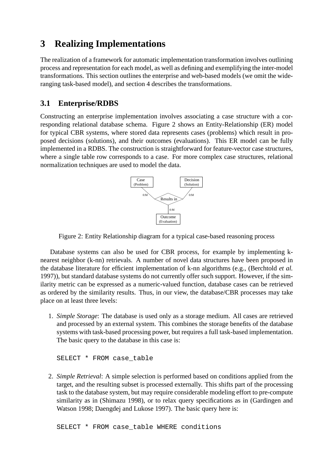## **3 Realizing Implementations**

The realization of a framework for automatic implementation transformation involves outlining process and representation for each model, as well as defining and exemplifying the inter-model transformations. This section outlines the enterprise and web-based models (we omit the wideranging task-based model), and section 4 describes the transformations.

### **3.1 Enterprise/RDBS**

Constructing an enterprise implementation involves associating a case structure with a corresponding relational database schema. Figure 2 shows an Entity-Relationship (ER) model for typical CBR systems, where stored data represents cases (problems) which result in proposed decisions (solutions), and their outcomes (evaluations). This ER model can be fully implemented in a RDBS. The construction is straightforward for feature-vector case structures, where a single table row corresponds to a case. For more complex case structures, relational normalization techniques are used to model the data.



Figure 2: Entity Relationship diagram for a typical case-based reasoning process

Database systems can also be used for CBR process, for example by implementing knearest neighbor (k-nn) retrievals. A number of novel data structures have been proposed in the database literature for efficient implementation of k-nn algorithms (e.g., (Berchtold *et al.* 1997)), but standard database systems do not currently offer such support. However, if the similarity metric can be expressed as a numeric-valued function, database cases can be retrieved as ordered by the similarity results. Thus, in our view, the database/CBR processes may take place on at least three levels:

1. *Simple Storage*: The database is used only as a storage medium. All cases are retrieved and processed by an external system. This combines the storage benefits of the database systems with task-based processing power, but requires a full task-based implementation. The basic query to the database in this case is:

SELECT \* FROM case table

2. *Simple Retrieval*: A simple selection is performed based on conditions applied from the target, and the resulting subset is processed externally. This shifts part of the processing task to the database system, but may require considerable modeling effort to pre-compute similarity as in (Shimazu 1998), or to relax query specifications as in (Gardingen and Watson 1998; Daengdej and Lukose 1997). The basic query here is:

SELECT \* FROM case table WHERE conditions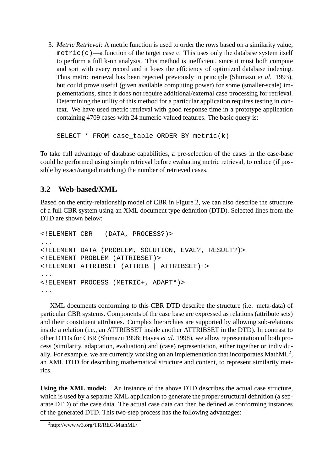3. *Metric Retrieval*: A metric function is used to order the rows based on a similarity value, metric(c)—a function of the target case c. This uses only the database system itself to perform a full k-nn analysis. This method is inefficient, since it must both compute and sort with every record and it loses the efficiency of optimized database indexing. Thus metric retrieval has been rejected previously in principle (Shimazu *et al.* 1993), but could prove useful (given available computing power) for some (smaller-scale) implementations, since it does not require additional/external case processing for retrieval. Determining the utility of this method for a particular application requires testing in context. We have used metric retrieval with good response time in a prototype application containing 4709 cases with 24 numeric-valued features. The basic query is:

SELECT \* FROM case\_table ORDER BY metric(k)

To take full advantage of database capabilities, a pre-selection of the cases in the case-base could be performed using simple retrieval before evaluating metric retrieval, to reduce (if possible by exact/ranged matching) the number of retrieved cases.

#### **3.2 Web-based/XML**

Based on the entity-relationship model of CBR in Figure 2, we can also describe the structure of a full CBR system using an XML document type definition (DTD). Selected lines from the DTD are shown below:

```
<!ELEMENT CBR (DATA, PROCESS?)>
...
<!ELEMENT DATA (PROBLEM, SOLUTION, EVAL?, RESULT?)>
<!ELEMENT PROBLEM (ATTRIBSET)>
<!ELEMENT ATTRIBSET (ATTRIB | ATTRIBSET)+>
...
<!ELEMENT PROCESS (METRIC+, ADAPT*)>
...
```
XML documents conforming to this CBR DTD describe the structure (i.e. meta-data) of particular CBR systems. Components of the case base are expressed as relations (attribute sets) and their constituent attributes. Complex hierarchies are supported by allowing sub-relations inside a relation (i.e., an ATTRIBSET inside another ATTRIBSET in the DTD). In contrast to other DTDs for CBR (Shimazu 1998; Hayes *et al.* 1998), we allow representation of both process (similarity, adaptation, evaluation) and (case) representation, either together or individually. For example, we are currently working on an implementation that incorporates MathML<sup>2</sup>, an XML DTD for describing mathematical structure and content, to represent similarity metrics.

**Using the XML model:** An instance of the above DTD describes the actual case structure, which is used by a separate XML application to generate the proper structural definition (a separate DTD) of the case data. The actual case data can then be defined as conforming instances of the generated DTD. This two-step process has the following advantages:

<sup>2</sup>http://www.w3.org/TR/REC-MathML/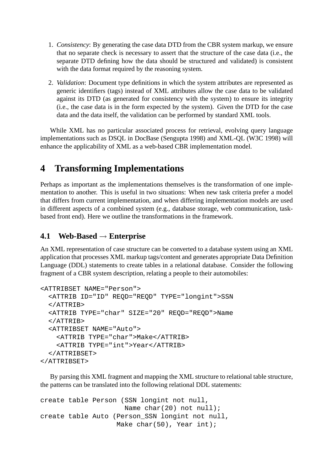- 1. *Consistency*: By generating the case data DTD from the CBR system markup, we ensure that no separate check is necessary to assert that the structure of the case data (i.e., the separate DTD defining how the data should be structured and validated) is consistent with the data format required by the reasoning system.
- 2. *Validation*: Document type definitions in which the system attributes are represented as generic identifiers (tags) instead of XML attributes allow the case data to be validated against its DTD (as generated for consistency with the system) to ensure its integrity (i.e., the case data is in the form expected by the system). Given the DTD for the case data and the data itself, the validation can be performed by standard XML tools.

While XML has no particular associated process for retrieval, evolving query language implementations such as DSQL in DocBase (Sengupta 1998) and XML-QL (W3C 1998) will enhance the applicability of XML as a web-based CBR implementation model.

### **4 Transforming Implementations**

Perhaps as important as the implementations themselves is the transformation of one implementation to another. This is useful in two situations: When new task criteria prefer a model that differs from current implementation, and when differing implementation models are used in different aspects of a combined system (e.g., database storage, web communication, taskbased front end). Here we outline the transformations in the framework.

### **4.1 Web-Based** ! **Enterprise**

An XML representation of case structure can be converted to a database system using an XML application that processes XML markup tags/content and generates appropriate Data Definition Language (DDL) statements to create tables in a relational database. Consider the following fragment of a CBR system description, relating a people to their automobiles:

```
<ATTRIBSET NAME="Person">
  <ATTRIB ID="ID" REQD="REQD" TYPE="longint">SSN
  </ATTRIB>
  <ATTRIB TYPE="char" SIZE="20" REQD="REQD">Name
  </ATTRIB>
  <ATTRIBSET NAME="Auto">
    <ATTRIB TYPE="char">Make</ATTRIB>
    <ATTRIB TYPE="int">Year</ATTRIB>
  </ATTRIBSET>
</ATTRIBSET>
```
By parsing this XML fragment and mapping the XML structure to relational table structure, the patterns can be translated into the following relational DDL statements:

```
create table Person (SSN longint not null,
                     Name char(20) not null);
create table Auto (Person_SSN longint not null,
                   Make char(50), Year int);
```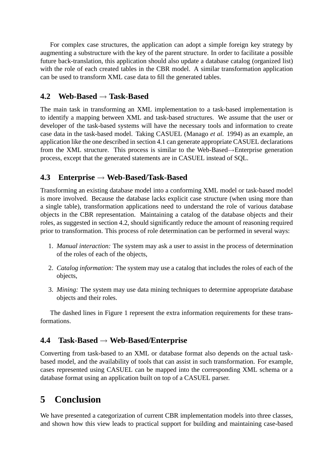For complex case structures, the application can adopt a simple foreign key strategy by augmenting a substructure with the key of the parent structure. In order to facilitate a possible future back-translation, this application should also update a database catalog (organized list) with the role of each created tables in the CBR model. A similar transformation application can be used to transform XML case data to fill the generated tables.

#### **4.2 Web-Based** ! **Task-Based**

The main task in transforming an XML implementation to a task-based implementation is to identify a mapping between XML and task-based structures. We assume that the user or developer of the task-based systems will have the necessary tools and information to create case data in the task-based model. Taking CASUEL (Manago *et al.* 1994) as an example, an application like the one described in section 4.1 can generate appropriate CASUEL declarations from the XML structure. This process is similar to the Web-Based $\rightarrow$ Enterprise generation process, except that the generated statements are in CASUEL instead of SQL.

#### **4.3 Enterprise** ! **Web-Based/Task-Based**

Transforming an existing database model into a conforming XML model or task-based model is more involved. Because the database lacks explicit case structure (when using more than a single table), transformation applications need to understand the role of various database objects in the CBR representation. Maintaining a catalog of the database objects and their roles, as suggested in section 4.2, should significantly reduce the amount of reasoning required prior to transformation. This process of role determination can be performed in several ways:

- 1. *Manual interaction:* The system may ask a user to assist in the process of determination of the roles of each of the objects,
- 2. *Catalog information:* The system may use a catalog that includes the roles of each of the objects,
- 3. *Mining:* The system may use data mining techniques to determine appropriate database objects and their roles.

The dashed lines in Figure 1 represent the extra information requirements for these transformations.

#### **4.4 Task-Based** ! **Web-Based/Enterprise**

Converting from task-based to an XML or database format also depends on the actual taskbased model, and the availability of tools that can assist in such transformation. For example, cases represented using CASUEL can be mapped into the corresponding XML schema or a database format using an application built on top of a CASUEL parser.

## **5 Conclusion**

We have presented a categorization of current CBR implementation models into three classes, and shown how this view leads to practical support for building and maintaining case-based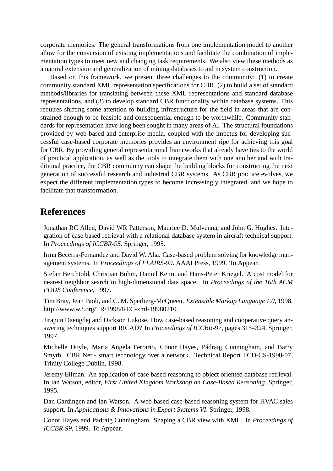corporate memories. The general transformations from one implementation model to another allow for the conversion of existing implementations and facilitate the combination of implementation types to meet new and changing task requirements. We also view these methods as a natural extension and generalization of mining databases to aid in system construction.

Based on this framework, we present three challenges to the community: (1) to create community standard XML representation specifications for CBR, (2) to build a set of standard methods/libraries for translating between these XML representations and standard database representations, and (3) to develop standard CBR functionality within database systems. This requires shifting some attention to building infrastructure for the field in areas that are constrained enough to be feasible and consequential enough to be worthwhile. Community standards for representation have long been sought in many areas of AI. The structural foundations provided by web-based and enterprise media, coupled with the impetus for developing successful case-based corporate memories provides an environment ripe for achieving this goal for CBR. By providing general representational frameworks that already have ties to the world of practical application, as well as the tools to integrate them with one another and with traditional practice, the CBR community can shape the building blocks for constructing the next generation of successful research and industrial CBR systems. As CBR practice evolves, we expect the different implementation types to become increasingly integrated, and we hope to facilitate that transformation.

### **References**

Jonathan RC Allen, David WR Patterson, Maurice D. Mulvenna, and John G. Hughes. Integration of case based retrieval with a relational database system in aircraft technical support. In *Proceedings of ICCBR-95*. Springer, 1995.

Irma Becerra-Fernandez and David W. Aha. Case-based problem solving for knowledge management systems. In *Proceedings of FLAIRS-99*. AAAI Press, 1999. To Appear.

Stefan Berchtold, Christian Bohm, Daniel Keim, and Hans-Peter Kriegel. A cost model for nearest neighbor search in high-dimensional data space. In *Proceedings of the 16th ACM PODS Conference*, 1997.

Tim Bray, Jean Paoli, and C. M. Sperberg-McQueen. *Extensible Markup Language 1.0*, 1998. http://www.w3.org/TR/1998/REC-xml-19980210.

Jirapun Daengdej and Dickson Lukose. How case-based reasoning and cooperative query answering techniques support RICAD? In *Proceedings of ICCBR-97*, pages 315–324. Springer, 1997.

Michelle Doyle, Maria Angela Ferrario, Conor Hayes, Pádraig Cunningham, and Barry Smyth. CBR Net:- smart technology over a network. Technical Report TCD-CS-1998-07, Trinity College Dublin, 1998.

Jeremy Ellman. An application of case based reasoning to object oriented database retrieval. In Ian Watson, editor, *First United Kingdom Workshop on Case-Based Reasoning*. Springer, 1995.

Dan Gardingen and Ian Watson. A web based case-based reasoning system for HVAC sales support. In *Applications & Innovations in Expert Systems VI*. Springer, 1998.

Conor Hayes and P´adraig Cunningham. Shaping a CBR view with XML. In *Proceedings of ICCBR-99*, 1999. To Appear.